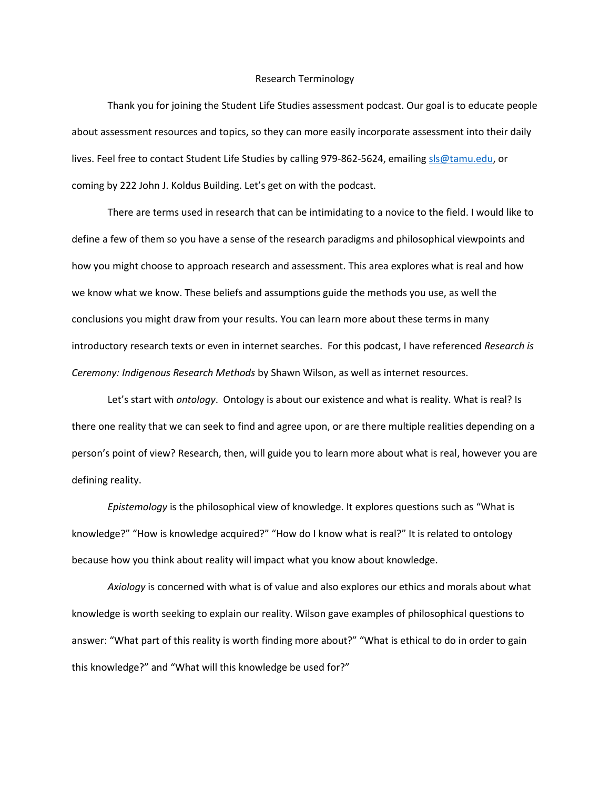## Research Terminology

Thank you for joining the Student Life Studies assessment podcast. Our goal is to educate people about assessment resources and topics, so they can more easily incorporate assessment into their daily lives. Feel free to contact Student Life Studies by calling 979-862-5624, emailin[g sls@tamu.edu,](mailto:sls@tamu.edu) or coming by 222 John J. Koldus Building. Let's get on with the podcast.

There are terms used in research that can be intimidating to a novice to the field. I would like to define a few of them so you have a sense of the research paradigms and philosophical viewpoints and how you might choose to approach research and assessment. This area explores what is real and how we know what we know. These beliefs and assumptions guide the methods you use, as well the conclusions you might draw from your results. You can learn more about these terms in many introductory research texts or even in internet searches. For this podcast, I have referenced *Research is Ceremony: Indigenous Research Methods* by Shawn Wilson, as well as internet resources.

Let's start with *ontology*. Ontology is about our existence and what is reality. What is real? Is there one reality that we can seek to find and agree upon, or are there multiple realities depending on a person's point of view? Research, then, will guide you to learn more about what is real, however you are defining reality.

*Epistemology* is the philosophical view of knowledge. It explores questions such as "What is knowledge?" "How is knowledge acquired?" "How do I know what is real?" It is related to ontology because how you think about reality will impact what you know about knowledge.

*Axiology* is concerned with what is of value and also explores our ethics and morals about what knowledge is worth seeking to explain our reality. Wilson gave examples of philosophical questions to answer: "What part of this reality is worth finding more about?" "What is ethical to do in order to gain this knowledge?" and "What will this knowledge be used for?"